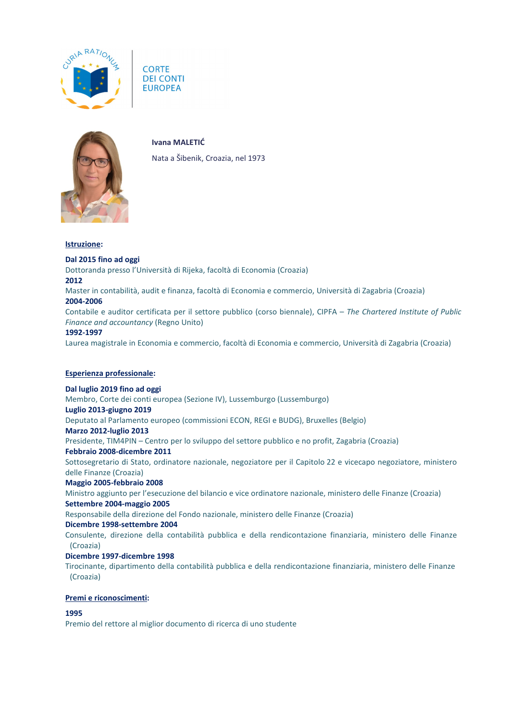





**Ivana MALETIĆ**

Nata a Šibenik, Croazia, nel 1973

### **Istruzione:**

## **Dal 2015 fino ad oggi**

Dottoranda presso l'Università di Rijeka, facoltà di Economia (Croazia)

#### **2012**

Master in contabilità, audit e finanza, facoltà di Economia e commercio, Università di Zagabria (Croazia) **2004-2006**

Contabile e auditor certificata per il settore pubblico (corso biennale), CIPFA – *The Chartered Institute of Public Finance and accountancy* (Regno Unito)

### **1992-1997**

Laurea magistrale in Economia e commercio, facoltà di Economia e commercio, Università di Zagabria (Croazia)

# **Esperienza professionale:**

# **Dal luglio 2019 fino ad oggi**

Membro, Corte dei conti europea (Sezione IV), Lussemburgo (Lussemburgo)

#### **Luglio 2013-giugno 2019**

Deputato al Parlamento europeo (commissioni ECON, REGI e BUDG), Bruxelles (Belgio)

#### **Marzo 2012-luglio 2013**

Presidente, TIM4PIN – Centro per lo sviluppo del settore pubblico e no profit, Zagabria (Croazia)

### **Febbraio 2008-dicembre 2011**

Sottosegretario di Stato, ordinatore nazionale, negoziatore per il Capitolo 22 e vicecapo negoziatore, ministero delle Finanze (Croazia)

### **Maggio 2005-febbraio 2008**

Ministro aggiunto per l'esecuzione del bilancio e vice ordinatore nazionale, ministero delle Finanze (Croazia) **Settembre 2004-maggio 2005**

Responsabile della direzione del Fondo nazionale, ministero delle Finanze (Croazia)

#### **Dicembre 1998-settembre 2004**

Consulente, direzione della contabilità pubblica e della rendicontazione finanziaria, ministero delle Finanze (Croazia)

### **Dicembre 1997-dicembre 1998**

Tirocinante, dipartimento della contabilità pubblica e della rendicontazione finanziaria, ministero delle Finanze (Croazia)

# **Premi e riconoscimenti:**

#### **1995**

Premio del rettore al miglior documento di ricerca di uno studente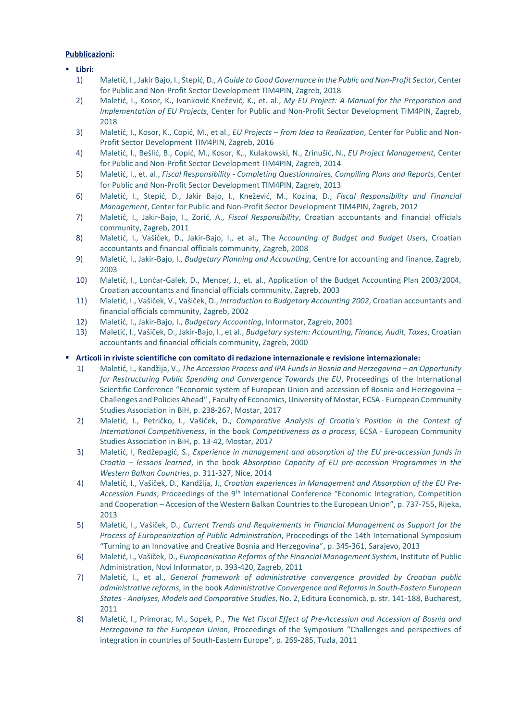# **Pubblicazioni:**

### **Libri:**

- 1) Maletić, I., Jakir Bajo, I., Stepić, D., *A Guide to Good Governance in the Public and Non-Profit Sector*, Center for Public and Non-Profit Sector Development TIM4PIN, Zagreb, 2018
- 2) Maletić, I., Kosor, K., Ivanković Knežević, K., et. al., *My EU Project: A Manual for the Preparation and Implementation of EU Projects*, Center for Public and Non-Profit Sector Development TIM4PIN, Zagreb, 2018
- 3) Maletić, I., Kosor, K., Copić, M., et al., *EU Projects – from Idea to Realization*, Center for Public and Non-Profit Sector Development TIM4PIN, Zagreb, 2016
- 4) Maletić, I., Bešlić, B., Copić, M., Kosor, K,., Kulakowski, N., Zrinušić, N., *EU Project Management*, Center for Public and Non-Profit Sector Development TIM4PIN, Zagreb, 2014
- 5) Maletić, I., et. al., *Fiscal Responsibility - Completing Questionnaires, Compiling Plans and Reports*, Center for Public and Non-Profit Sector Development TIM4PIN, Zagreb, 2013
- 6) Maletić, I., Stepić, D., Jakir Bajo, I., Knežević, M., Kozina, D., *Fiscal Responsibility and Financial Management*, Center for Public and Non-Profit Sector Development TIM4PIN, Zagreb, 2012
- 7) Maletić, I., Jakir-Bajo, I., Zorić, A., *Fiscal Responsibility*, Croatian accountants and financial officials community, Zagreb, 2011
- 8) Maletić, I., Vašiček, D., Jakir-Bajo, I., et al., The A*ccounting of Budget and Budget Users*, Croatian accountants and financial officials community, Zagreb, 2008
- 9) Maletić, I., Jakir-Bajo, I., *Budgetary Planning and Accounting*, Centre for accounting and finance, Zagreb, 2003
- 10) Maletić, I., Lončar-Galek, D., Mencer, J., et. al., Application of the Budget Accounting Plan 2003/2004, Croatian accountants and financial officials community, Zagreb, 2003
- 11) Maletić, I., Vašiček, V., Vašiček, D., *Introduction to Budgetary Accounting 2002*, Croatian accountants and financial officials community, Zagreb, 2002
- 12) Maletić, I., Jakir-Bajo, I., *Budgetary Accounting*, Informator, Zagreb, 2001
- 13) Maletić, I., Vašiček, D., Jakir-Bajo, I., et al., *Budgetary system: Accounting, Finance, Audit, Taxes*, Croatian accountants and financial officials community, Zagreb, 2000

## **Articoli in riviste scientifiche con comitato di redazione internazionale e revisione internazionale:**

- 1) Maletić, I., Kandžija, V., *The Accession Process and IPA Funds in Bosnia and Herzegovina – an Opportunity for Restructuring Public Spending and Convergence Towards the EU*, Proceedings of the International Scientific Conference "Economic system of European Union and accession of Bosnia and Herzegovina – Challenges and Policies Ahead" , Faculty of Economics, University of Mostar, ECSA - European Community Studies Association in BiH, p. 238-267, Mostar, 2017
- 2) Maletić, I., Petričko, I., Vašiček, D., *Comparative Analysis of Croatia's Position in the Context of International Competitiveness*, in the book *Competitiveness as a process*, ECSA - European Community Studies Association in BiH, p. 13-42, Mostar, 2017
- 3) Maletić, I, Redžepagić, S., *Experience in management and absorption of the EU pre-accession funds in Croatia – lessons learned*, in the book *Absorption Capacity of EU pre-accession Programmes in the Western Balkan Countries*, p. 311-327, Nice, 2014
- 4) Maletić, I., Vašiček, D., Kandžija, J., *Croatian experiences in Management and Absorption of the EU Pre-Accession Funds*, Proceedings of the 9th International Conference "Economic Integration, Competition and Cooperation – Accesion of the Western Balkan Countries to the European Union", p. 737-755, Rijeka, 2013
- 5) Maletić, I., Vašiček, D., *Current Trends and Requirements in Financial Management as Support for the Process of Europeanization of Public Administration*, Proceedings of the 14th International Symposium "Turning to an Innovative and Creative Bosnia and Herzegovina", p. 345-361, Sarajevo, 2013
- 6) Maletić, I., Vašiček, D., *Europeanisation Reforms of the Financial Management System*, Institute of Public Administration, Novi Informator, p. 393-420, Zagreb, 2011
- 7) Maletić, I., et al., *General framework of administrative convergence provided by Croatian public administrative reforms*, in the book *Administrative Convergence and Reforms in South-Eastern European States - Analyses, Models and Comparative Studies*, No. 2, Editura Economică, p. str. 141-188, Bucharest, 2011
- 8) Maletić, I., Primorac, M., Sopek, P., *The Net Fiscal Effect of Pre-Accession and Accession of Bosnia and Herzegovina to the European Union*, Proceedings of the Symposium "Challenges and perspectives of integration in countries of South-Eastern Europe", p. 269-285, Tuzla, 2011